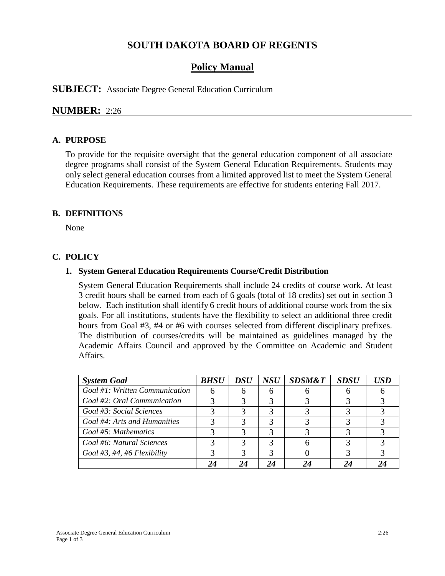# **SOUTH DAKOTA BOARD OF REGENTS**

## **Policy Manual**

**SUBJECT:** Associate Degree General Education Curriculum

## **NUMBER:** 2:26

#### **A. PURPOSE**

To provide for the requisite oversight that the general education component of all associate degree programs shall consist of the System General Education Requirements. Students may only select general education courses from a limited approved list to meet the System General Education Requirements. These requirements are effective for students entering Fall 2017.

#### **B. DEFINITIONS**

None

### **C. POLICY**

#### **1. System General Education Requirements Course/Credit Distribution**

System General Education Requirements shall include 24 credits of course work. At least 3 credit hours shall be earned from each of 6 goals (total of 18 credits) set out in section 3 below. Each institution shall identify 6 credit hours of additional course work from the six goals. For all institutions, students have the flexibility to select an additional three credit hours from Goal #3, #4 or #6 with courses selected from different disciplinary prefixes. The distribution of courses/credits will be maintained as guidelines managed by the Academic Affairs Council and approved by the Committee on Academic and Student Affairs.

| <b>System Goal</b>             | <i>BHSU</i> | <b>DSU</b> | <b>NSU</b> | <b>SDSM&amp;T</b> | <b>SDSU</b> | IISD |
|--------------------------------|-------------|------------|------------|-------------------|-------------|------|
| Goal #1: Written Communication |             |            |            |                   |             |      |
| Goal #2: Oral Communication    |             |            |            |                   |             |      |
| Goal #3: Social Sciences       |             |            |            |                   |             |      |
| Goal #4: Arts and Humanities   |             |            |            |                   |             |      |
| Goal #5: Mathematics           |             |            |            |                   |             |      |
| Goal #6: Natural Sciences      |             |            |            |                   |             |      |
| Goal #3, #4, #6 Flexibility    |             |            |            |                   |             |      |
|                                |             |            |            |                   |             |      |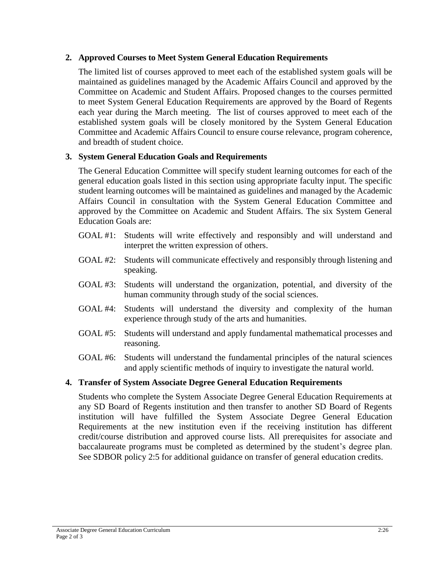## **2. Approved Courses to Meet System General Education Requirements**

The limited list of courses approved to meet each of the established system goals will be maintained as guidelines managed by the Academic Affairs Council and approved by the Committee on Academic and Student Affairs. Proposed changes to the courses permitted to meet System General Education Requirements are approved by the Board of Regents each year during the March meeting. The list of courses approved to meet each of the established system goals will be closely monitored by the System General Education Committee and Academic Affairs Council to ensure course relevance, program coherence, and breadth of student choice.

## **3. System General Education Goals and Requirements**

The General Education Committee will specify student learning outcomes for each of the general education goals listed in this section using appropriate faculty input. The specific student learning outcomes will be maintained as guidelines and managed by the Academic Affairs Council in consultation with the System General Education Committee and approved by the Committee on Academic and Student Affairs. The six System General Education Goals are:

- GOAL #1: Students will write effectively and responsibly and will understand and interpret the written expression of others.
- GOAL #2: Students will communicate effectively and responsibly through listening and speaking.
- GOAL #3: Students will understand the organization, potential, and diversity of the human community through study of the social sciences.
- GOAL #4: Students will understand the diversity and complexity of the human experience through study of the arts and humanities.
- GOAL #5: Students will understand and apply fundamental mathematical processes and reasoning.
- GOAL #6: Students will understand the fundamental principles of the natural sciences and apply scientific methods of inquiry to investigate the natural world.

### **4. Transfer of System Associate Degree General Education Requirements**

Students who complete the System Associate Degree General Education Requirements at any SD Board of Regents institution and then transfer to another SD Board of Regents institution will have fulfilled the System Associate Degree General Education Requirements at the new institution even if the receiving institution has different credit/course distribution and approved course lists. All prerequisites for associate and baccalaureate programs must be completed as determined by the student's degree plan. See SDBOR policy 2:5 for additional guidance on transfer of general education credits.